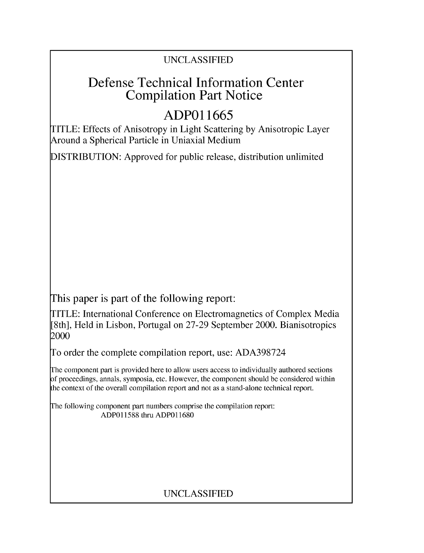### UNCLASSIFIED

## Defense Technical Information Center Compilation Part Notice

# **ADPO 11665**

TITLE: Effects of Anisotropy in Light Scattering by Anisotropic Layer Around a Spherical Particle in Uniaxial Medium

DISTRIBUTION: Approved for public release, distribution unlimited

This paper is part of the following report:

TITLE: International Conference on Electromagnetics of Complex Media [8th], Held in Lisbon, Portugal on 27-29 September 2000. Bianisotropics 2000

To order the complete compilation report, use: ADA398724

The component part is provided here to allow users access to individually authored sections f proceedings, annals, symposia, etc. However, the component should be considered within [he context of the overall compilation report and not as a stand-alone technical report.

The following component part numbers comprise the compilation report: ADP011588 thru ADP011680

## UNCLASSIFIED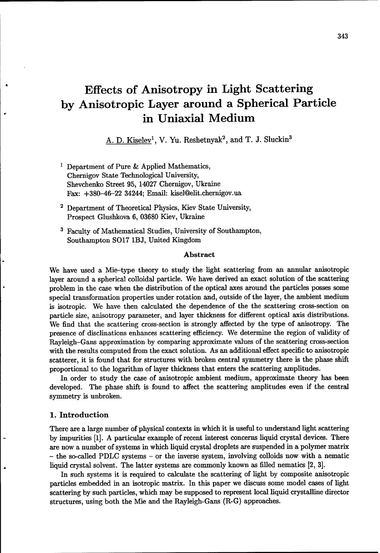## Effects of Anisotropy in Light Scattering **by** Anisotropic Layer around a Spherical Particle in Uniaxial Medium

A. D. Kiselev<sup>1</sup>, V. Yu. Reshetnyak<sup>2</sup>, and T. J. Sluckin<sup>3</sup>

- **1** Department of Pure & Applied Mathematics, Chernigov State Technological University, Shevchenko Street 95, 14027 Chernigov, Ukraine Fax: +380-46-22 34244; Email: kisel@elit.chernigov.ua
- 2 Department of Theoretical Physics, Kiev State University, Prospect Glushkova 6, 03680 Kiev, Ukraine
- **3** Faculty of Mathematical Studies, University of Southampton, Southampton S017 1BJ, United Kingdom

#### Abstract

We have used a Mie-type theory to study the light scattering from an annular anisotropic layer around a spherical colloidal particle. We have derived an exact solution of the scattering problem in the case when the distribution of the optical axes around the particles posses some special transformation properties under rotation and, outside of the layer, the ambient medium is isotropic. We have then calculated the dependence of the the scattering cross-section on particle size, anisotropy parameter, and layer thickness for different optical axis distributions. We find that the scattering cross-section is strongly affected by the type of anisotropy. The presence of disclinations enhances scattering efficiency. We determine the region of validity of Rayleigh-Gans approximation by comparing approximate values of the scattering cross-section with the results computed from the exact solution. As an additional effect specific to anisotropic scatterer, it is found that for structures with broken central symmetry there is the phase shift proportional to the logarithm of layer thickness that enters the scattering amplitudes.

In order to study the case of anisotropic ambient medium, approximate theory has been developed. The phase shift is found to affect the scattering amplitudes even if the central symmetry is unbroken.

#### 1. Introduction

There are a large number of physical contexts in which it is useful to understand light scattering by impurities [1]. A particular example of recent interest concerns liquid crystal devices. There are now a number of systems in which liquid crystal droplets are suspended in a polymer matrix - the so-called PDLC systems - or the inverse system, involving colloids now with a nematic liquid crystal solvent. The latter systems are commonly known as filled nematics [2, 3].

In such systems it is required to calculate the scattering of light by composite anisotropic particles embedded in an isotropic matrix. In this paper we discuss some model cases of light scattering by such particles, which may be supposed to represent local liquid crystalline director structures, using both the Mie and the Rayleigh-Gans (R-G) approaches.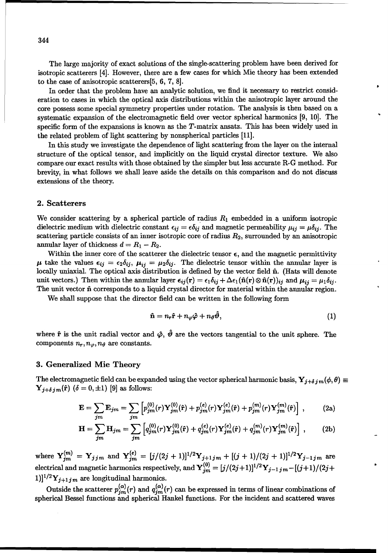The large majority of exact solutions of the single-scattering problem have been derived for isotropic scatterers [4]. However, there are a few cases for which Mie theory has been extended to the case of anisotropic scatterers[5, 6, 7, 8].

In order that the problem have an analytic solution, we find it necessary to restrict consideration to cases in which the optical axis distributions within the anisotropic layer around the core possess some special symmetry properties under rotation. The analysis is then based on a systematic expansion of the electromagnetic field over vector spherical harmonics [9, 10]. The specific form of the expansions is known as the T-matrix ansatz. This has been widely used in the related problem of light scattering by nonspherical particles [11].

In this study we investigate the dependence of light scattering from the layer on the internal structure of the optical tensor, and implicitly on the liquid crystal director texture. We also compare our exact results with those obtained by the simpler but less accurate R-G method. For brevity, in what follows we shall leave aside the details on this comparison and do not discuss extensions of the theory.

#### 2. Scatterers

We consider scattering by a spherical particle of radius *R1* embedded in a uniform isotropic dielectric medium with dielectric constant  $\epsilon_{ij} = \epsilon \delta_{ij}$  and magnetic permeability  $\mu_{ij} = \mu \delta_{ij}$ . The scattering particle consists of an inner isotropic core of radius  $R_2$ , surrounded by an anisotropic annular layer of thickness  $d = R_1 - R_2$ .

Within the inner core of the scatterer the dielectric tensor  $\epsilon$ , and the magnetic permittivity  $\mu$  take the values  $\epsilon_{ij} = \epsilon_2 \delta_{ij}$ ,  $\mu_{ij} = \mu_2 \delta_{ij}$ . The dielectric tensor within the annular layer is locally uniaxial. The optical axis distribution is defined by the vector field **fi.** (Hats will denote unit vectors.) Then within the annular layer  $\epsilon_{ij}(\mathbf{r}) = \epsilon_1 \delta_{ij} + \Delta \epsilon_1 (\hat{\mathbf{n}}(\mathbf{r}) \otimes \hat{\mathbf{n}}(\mathbf{r}))_{ij}$  and  $\mu_{ij} = \mu_1 \delta_{ij}$ . The unit vector **fi** corresponds to a liquid crystal director for material within the annular region.

We shall suppose that the director field can be written in the following form

$$
\hat{\mathbf{n}} = n_r \hat{\mathbf{r}} + n_\varphi \hat{\varphi} + n_\vartheta \hat{\vartheta}, \tag{1}
$$

where  $\hat{\mathbf{r}}$  is the unit radial vector and  $\hat{\varphi}$ ,  $\hat{\vartheta}$  are the vectors tangential to the unit sphere. The components  $n_r, n_\varphi, n_\vartheta$  are constants.

#### **3.** Generalized Mie Theory

The electromagnetic field can be expanded using the vector spherical harmonic basis,  $Y_{j+\delta j m}(\phi, \theta) \equiv$  $Y_{j+\delta jm}(\hat{\mathbf{r}})$   $(\delta = 0, \pm 1)$  [9] as follows:

$$
\mathbf{E} = \sum_{jm} \mathbf{E}_{jm} = \sum_{jm} \left[ p_{jm}^{(0)}(r) \mathbf{Y}_{jm}^{(0)}(\hat{\mathbf{r}}) + p_{jm}^{(e)}(r) \mathbf{Y}_{jm}^{(e)}(\hat{\mathbf{r}}) + p_{jm}^{(m)}(r) \mathbf{Y}_{jm}^{(m)}(\hat{\mathbf{r}}) \right],
$$
 (2a)

$$
\mathbf{H} = \sum_{jm} \mathbf{H}_{jm} = \sum_{jm} \left[ q_{jm}^{(0)}(r) \mathbf{Y}_{jm}^{(0)}(\hat{\mathbf{r}}) + q_{jm}^{(e)}(r) \mathbf{Y}_{jm}^{(e)}(\hat{\mathbf{r}}) + q_{jm}^{(m)}(r) \mathbf{Y}_{jm}^{(m)}(\hat{\mathbf{r}}) \right], \tag{2b}
$$

where  $Y_{im}^{(m)} = Y_{jjm}$  and  $Y_{im}^{(e)} = [j/(2j+1)]^{1/2}Y_{j+1jm} + [(j+1)/(2j+1)]^{1/2}Y_{j-1jm}$  are  $\text{electrical and magnetic harmonics respectively, and \ } \mathbf{Y}^{(0)}_{jm} = [j/(2j+1)]^{1/2}\mathbf{Y}_{j-1\ j\ m} - [(j+1)/(2j+1)]^{1/2}\mathbf{Y}_{j-1\ j\ m}$  $[1]$ <sup>1/2</sup> $Y_{j+1jm}$  are longitudinal harmonics.

Outside the scatterer  $p_{jm}^{(\alpha)}(r)$  and  $q_{jm}^{(\alpha)}(r)$  can be expressed in terms of linear combinations of spherical Bessel functions and spherical Hankel functions. For the incident and scattered waves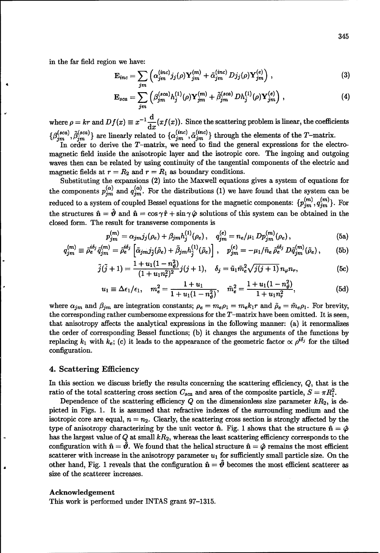in the far field region we have:

$$
\mathbf{E}_{inc} = \sum_{jm} \left( \alpha_{jm}^{(inc)} j_j(\rho) \mathbf{Y}_{jm}^{(m)} + \tilde{\alpha}_{jm}^{(inc)} D j_j(\rho) \mathbf{Y}_{jm}^{(e)} \right), \qquad (3)
$$

$$
\mathbf{E}_{sca} = \sum_{jm} \left( \beta_{jm}^{(sca)} h_j^{(1)}(\rho) \mathbf{Y}_{jm}^{(m)} + \tilde{\beta}_{jm}^{(sca)} Dh_j^{(1)}(\rho) \mathbf{Y}_{jm}^{(e)} \right), \tag{4}
$$

**I d** where  $\rho = kr$  and  $Df(x) \equiv x^{-1} \frac{d}{dx} (xf(x))$ . Since the scattering problem is linear, the coefficients  $g_{\alpha}(sca)$   $\tilde{g}(sca)$  are linearly related to  $f_{\alpha}(inc)$ ,  $\tilde{g}(inc)$ ,  $f_{\alpha}(inc)$ ,  $f_{\alpha}(inc)$ ,  $f_{\alpha}(inc)$ ,  $f_{\alpha}(inc)$ ,  $f_{\alpha}(inc)$ ,  $f_{\alpha}(inc)$ ,  $f_{\alpha}(inc)$ ,  $f_{\alpha}(inc)$ ,  $f_{\alpha}(inc)$ ,  $f_{\alpha}(inc)$ ,  $f_{\alpha}(inc)$ ,  $f_{\alpha}(inc)$ ,  $f_{\alpha}(inc)$ ,  $f_{\alpha}(inc)$ 

In order to derive the T-matrix, we need to find the general expressions for the electromagnetic field inside the anisotropic layer and the isotropic core. The ingoing and outgoing waves then can be related by using continuity of the tangential components of the electric and magnetic fields at  $r = R_2$  and  $r = R_1$  as boundary conditions.

Substituting the expansions (2) into the Maxwell equations gives a system of equations for the components  $p_{jm}^{(\alpha)}$  and  $q_{jm}^{(\alpha)}$ . For the distributions (1) we have found that the system can be reduced to a system of coupled Bessel equations for the magnetic components:  $\{p_{jm}^{(m)}, q_{jm}^{(m)}\}$ . For the structures  $\hat{\mathbf{n}} = \hat{\mathbf{v}}$  and  $\hat{\mathbf{n}} = \cos \gamma \hat{\mathbf{r}} + \sin \gamma \hat{\boldsymbol{\varphi}}$  solutions of this system can be obtained in the closed form. The result for transverse components is

$$
p_{jm}^{(m)} = \alpha_{jm} j_j(\rho_e) + \beta_{jm} h_j^{(1)}(\rho_e), \quad q_{jm}^{(e)} = n_e / \mu_1 D p_{jm}^{(m)}(\rho_e), \tag{5a}
$$

$$
q_{jm}^{(m)} \equiv \tilde{\rho}_e^{i\delta_j} \tilde{q}_{jm}^{(m)} = \tilde{\rho}_e^{i\delta_j} \left[ \tilde{\alpha}_{jm} j_{\tilde{j}} (\tilde{\rho}_e) + \tilde{\beta}_{jm} h_j^{(1)} (\tilde{\rho}_e) \right], \quad p_{jm}^{(e)} = -\mu_1 / \tilde{n}_e \, \tilde{\rho}_e^{i\delta_j} \, D \tilde{q}_{jm}^{(m)} (\tilde{\rho}_e), \qquad (5b)
$$

$$
\tilde{j}(\tilde{j}+1) = \frac{1+u_1(1-n_{\vartheta}^2)}{(1+u_1n_{\tau}^2)^2}j(j+1), \quad \delta_j = \tilde{u}_1\tilde{m}_e^2\sqrt{j(j+1)}\,n_{\varphi}n_r,\tag{5c}
$$

$$
u_1 \equiv \Delta \epsilon_1/\epsilon_1, \quad m_e^2 = \frac{1+u_1}{1+u_1(1-n_\theta^2)}, \quad \tilde{m}_e^2 = \frac{1+u_1(1-n_\theta^2)}{1+u_1n_\tau^2},\tag{5d}
$$

where  $\alpha_{jm}$  and  $\beta_{jm}$  are integration constants;  $\rho_e = m_e \rho_1 = m_e k_1 r$  and  $\tilde{\rho}_e = \tilde{m}_e \rho_1$ . For brevity, the corresponding rather cumbersome expressions for the  $T$ -matrix have been omitted. It is seen, that anisotropy affects the analytical expressions in the following manner: (a) it renormalizes the order of corresponding Bessel functions; (b) it changes the arguments of the functions by replacing  $k_1$  with  $k_e$ ; (c) it leads to the appearance of the geometric factor  $\propto \rho^{i\delta_j}$  for the tilted configuration.

#### 4. Scattering Efficiency

In this section we discuss briefly the results concerning the scattering efficiency,  $Q$ , that is the ratio of the total scattering cross section  $C_{sca}$  and area of the composite particle,  $S = \pi R_1^2$ .

Dependence of the scattering efficiency  $Q$  on the dimensionless size parameter  $kR_2$ , is depicted in Figs. 1. It is assumed that refractive indexes of the surrounding medium and the isotropic core are equal,  $n = n_2$ . Clearly, the scattering cross section is strongly affected by the type of anisotropy characterizing by the unit vector  $\hat{\mathbf{n}}$ . Fig. 1 shows that the structure  $\hat{\mathbf{n}} = \hat{\boldsymbol{\varphi}}$ has the largest value of  $Q$  at small  $kR_2$ , whereas the least scattering efficiency corresponds to the configuration with  $\hat{\mathbf{n}} = \hat{\mathbf{\theta}}$ . We found that the helical structure  $\hat{\mathbf{n}} = \hat{\varphi}$  remains the most efficient scatterer with increase in the anisotropy parameter  $u_1$  for sufficiently small particle size. On the other hand, Fig. 1 reveals that the configuration  $\hat{\mathbf{n}} = \hat{\mathbf{\theta}}$  becomes the most efficient scatterer as size of the scatterer increases.

#### Acknowledgement

This work is performed under INTAS grant 97-1315.